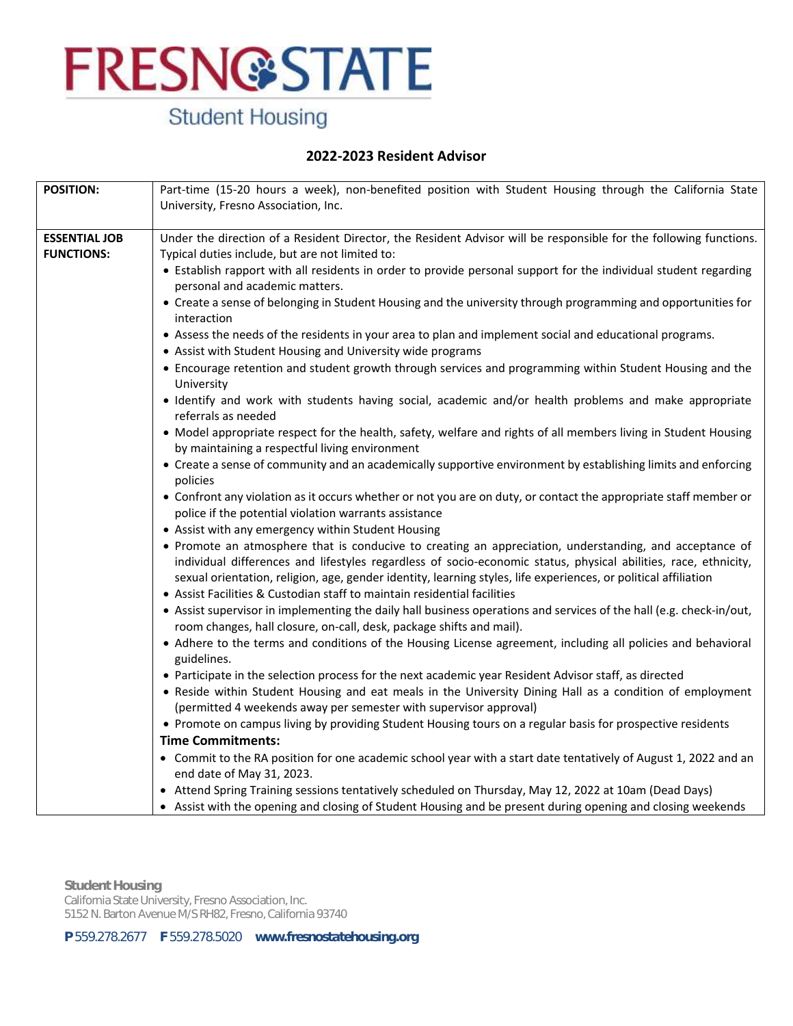## **Student Housing**

### **2022-2023 Resident Advisor**

| <b>POSITION:</b>                          | Part-time (15-20 hours a week), non-benefited position with Student Housing through the California State                                                                                                                                                                                                                                                                                                                                                                                                                                                                                                                                                                                                                                                                                                                                                                                                                                                                                                                                                                                                                                                                                                                                                                                                                                                                                                                       |
|-------------------------------------------|--------------------------------------------------------------------------------------------------------------------------------------------------------------------------------------------------------------------------------------------------------------------------------------------------------------------------------------------------------------------------------------------------------------------------------------------------------------------------------------------------------------------------------------------------------------------------------------------------------------------------------------------------------------------------------------------------------------------------------------------------------------------------------------------------------------------------------------------------------------------------------------------------------------------------------------------------------------------------------------------------------------------------------------------------------------------------------------------------------------------------------------------------------------------------------------------------------------------------------------------------------------------------------------------------------------------------------------------------------------------------------------------------------------------------------|
|                                           |                                                                                                                                                                                                                                                                                                                                                                                                                                                                                                                                                                                                                                                                                                                                                                                                                                                                                                                                                                                                                                                                                                                                                                                                                                                                                                                                                                                                                                |
| <b>ESSENTIAL JOB</b><br><b>FUNCTIONS:</b> | University, Fresno Association, Inc.<br>Under the direction of a Resident Director, the Resident Advisor will be responsible for the following functions.<br>Typical duties include, but are not limited to:<br>• Establish rapport with all residents in order to provide personal support for the individual student regarding<br>personal and academic matters.<br>• Create a sense of belonging in Student Housing and the university through programming and opportunities for<br>interaction<br>• Assess the needs of the residents in your area to plan and implement social and educational programs.<br>• Assist with Student Housing and University wide programs<br>• Encourage retention and student growth through services and programming within Student Housing and the<br>University<br>• Identify and work with students having social, academic and/or health problems and make appropriate<br>referrals as needed<br>• Model appropriate respect for the health, safety, welfare and rights of all members living in Student Housing<br>by maintaining a respectful living environment<br>• Create a sense of community and an academically supportive environment by establishing limits and enforcing<br>policies                                                                                                                                                                                        |
|                                           | • Confront any violation as it occurs whether or not you are on duty, or contact the appropriate staff member or<br>police if the potential violation warrants assistance<br>• Assist with any emergency within Student Housing<br>• Promote an atmosphere that is conducive to creating an appreciation, understanding, and acceptance of<br>individual differences and lifestyles regardless of socio-economic status, physical abilities, race, ethnicity,<br>sexual orientation, religion, age, gender identity, learning styles, life experiences, or political affiliation<br>• Assist Facilities & Custodian staff to maintain residential facilities<br>• Assist supervisor in implementing the daily hall business operations and services of the hall (e.g. check-in/out,<br>room changes, hall closure, on-call, desk, package shifts and mail).<br>• Adhere to the terms and conditions of the Housing License agreement, including all policies and behavioral<br>guidelines.<br>• Participate in the selection process for the next academic year Resident Advisor staff, as directed<br>. Reside within Student Housing and eat meals in the University Dining Hall as a condition of employment<br>(permitted 4 weekends away per semester with supervisor approval)<br>• Promote on campus living by providing Student Housing tours on a regular basis for prospective residents<br><b>Time Commitments:</b> |
|                                           | • Commit to the RA position for one academic school year with a start date tentatively of August 1, 2022 and an<br>end date of May 31, 2023.                                                                                                                                                                                                                                                                                                                                                                                                                                                                                                                                                                                                                                                                                                                                                                                                                                                                                                                                                                                                                                                                                                                                                                                                                                                                                   |
|                                           | • Attend Spring Training sessions tentatively scheduled on Thursday, May 12, 2022 at 10am (Dead Days)<br>• Assist with the opening and closing of Student Housing and be present during opening and closing weekends                                                                                                                                                                                                                                                                                                                                                                                                                                                                                                                                                                                                                                                                                                                                                                                                                                                                                                                                                                                                                                                                                                                                                                                                           |

**Student Housing** California State University, Fresno Association, Inc. 5152 N. Barton Avenue M/S RH82, Fresno, California 93740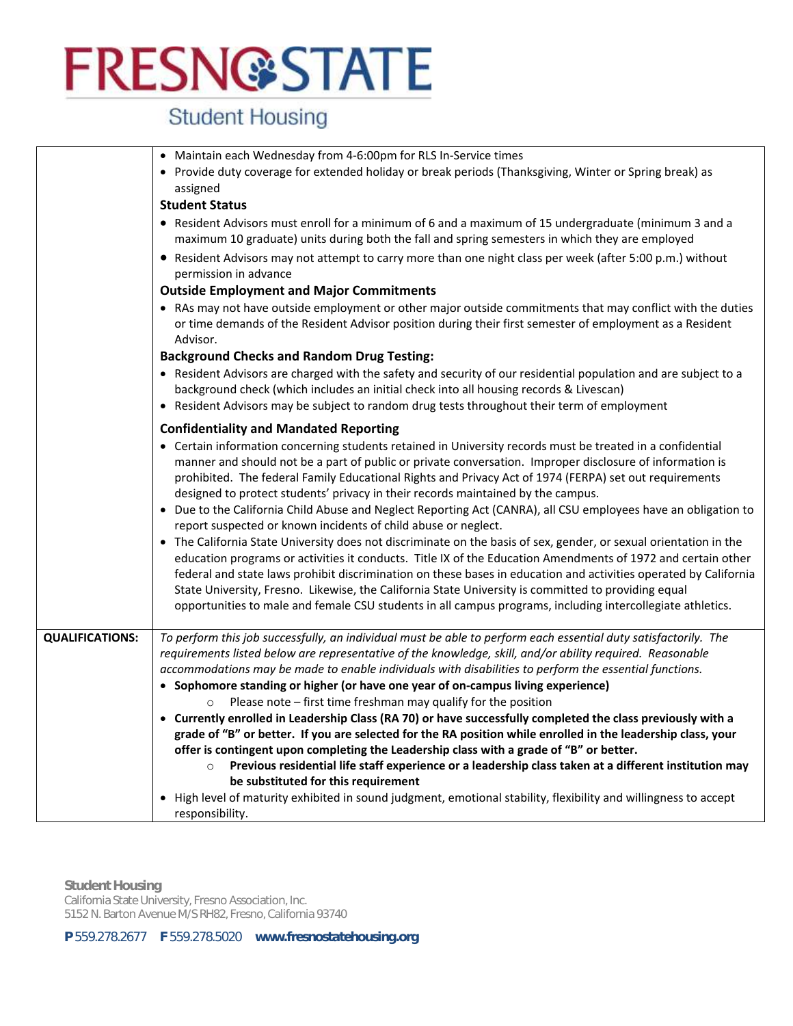## **Student Housing**

|                        | • Maintain each Wednesday from 4-6:00pm for RLS In-Service times<br>• Provide duty coverage for extended holiday or break periods (Thanksgiving, Winter or Spring break) as<br>assigned<br><b>Student Status</b>                                                                                                                                                                                                                                                                                                                                                                                                                                                                                                                                                                                                                                                                                                                                                                                                                                                                                                                                                                                                                        |
|------------------------|-----------------------------------------------------------------------------------------------------------------------------------------------------------------------------------------------------------------------------------------------------------------------------------------------------------------------------------------------------------------------------------------------------------------------------------------------------------------------------------------------------------------------------------------------------------------------------------------------------------------------------------------------------------------------------------------------------------------------------------------------------------------------------------------------------------------------------------------------------------------------------------------------------------------------------------------------------------------------------------------------------------------------------------------------------------------------------------------------------------------------------------------------------------------------------------------------------------------------------------------|
|                        | • Resident Advisors must enroll for a minimum of 6 and a maximum of 15 undergraduate (minimum 3 and a<br>maximum 10 graduate) units during both the fall and spring semesters in which they are employed                                                                                                                                                                                                                                                                                                                                                                                                                                                                                                                                                                                                                                                                                                                                                                                                                                                                                                                                                                                                                                |
|                        | • Resident Advisors may not attempt to carry more than one night class per week (after 5:00 p.m.) without<br>permission in advance                                                                                                                                                                                                                                                                                                                                                                                                                                                                                                                                                                                                                                                                                                                                                                                                                                                                                                                                                                                                                                                                                                      |
|                        | <b>Outside Employment and Major Commitments</b><br>• RAs may not have outside employment or other major outside commitments that may conflict with the duties<br>or time demands of the Resident Advisor position during their first semester of employment as a Resident<br>Advisor.                                                                                                                                                                                                                                                                                                                                                                                                                                                                                                                                                                                                                                                                                                                                                                                                                                                                                                                                                   |
|                        | <b>Background Checks and Random Drug Testing:</b><br>• Resident Advisors are charged with the safety and security of our residential population and are subject to a<br>background check (which includes an initial check into all housing records & Livescan)<br>• Resident Advisors may be subject to random drug tests throughout their term of employment                                                                                                                                                                                                                                                                                                                                                                                                                                                                                                                                                                                                                                                                                                                                                                                                                                                                           |
|                        | <b>Confidentiality and Mandated Reporting</b><br>• Certain information concerning students retained in University records must be treated in a confidential<br>manner and should not be a part of public or private conversation. Improper disclosure of information is<br>prohibited. The federal Family Educational Rights and Privacy Act of 1974 (FERPA) set out requirements<br>designed to protect students' privacy in their records maintained by the campus.<br>• Due to the California Child Abuse and Neglect Reporting Act (CANRA), all CSU employees have an obligation to<br>report suspected or known incidents of child abuse or neglect.<br>• The California State University does not discriminate on the basis of sex, gender, or sexual orientation in the<br>education programs or activities it conducts. Title IX of the Education Amendments of 1972 and certain other<br>federal and state laws prohibit discrimination on these bases in education and activities operated by California<br>State University, Fresno. Likewise, the California State University is committed to providing equal<br>opportunities to male and female CSU students in all campus programs, including intercollegiate athletics. |
| <b>QUALIFICATIONS:</b> | To perform this job successfully, an individual must be able to perform each essential duty satisfactorily. The<br>requirements listed below are representative of the knowledge, skill, and/or ability required. Reasonable<br>accommodations may be made to enable individuals with disabilities to perform the essential functions.<br>• Sophomore standing or higher (or have one year of on-campus living experience)<br>Please note - first time freshman may qualify for the position<br>• Currently enrolled in Leadership Class (RA 70) or have successfully completed the class previously with a<br>grade of "B" or better. If you are selected for the RA position while enrolled in the leadership class, your<br>offer is contingent upon completing the Leadership class with a grade of "B" or better.<br>Previous residential life staff experience or a leadership class taken at a different institution may<br>be substituted for this requirement<br>High level of maturity exhibited in sound judgment, emotional stability, flexibility and willingness to accept<br>$\bullet$<br>responsibility.                                                                                                                |

**Student Housing** California State University, Fresno Association, Inc. 5152 N. Barton Avenue M/S RH82, Fresno, California 93740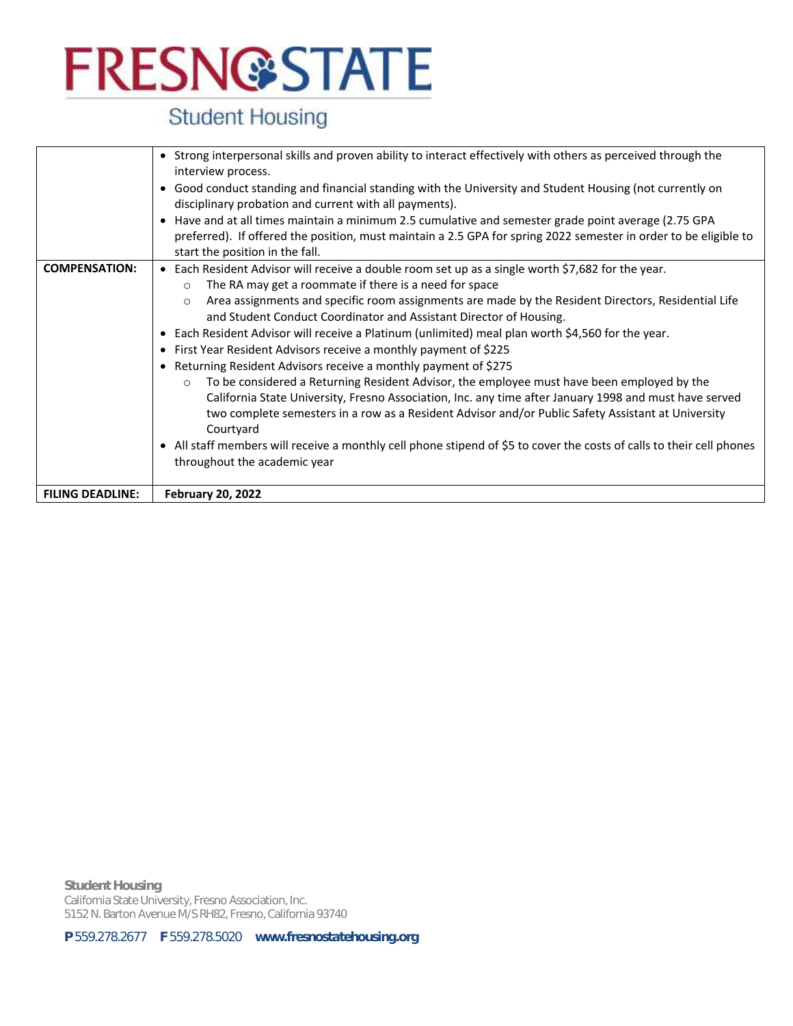## **Student Housing**

|                         | • Strong interpersonal skills and proven ability to interact effectively with others as perceived through the<br>interview process.                                                                                                                                                                                                                                                                                                                                                                                                                                                                                                                                                                                                                                                                                                                                                                                                                                                                                                                                                                         |
|-------------------------|-------------------------------------------------------------------------------------------------------------------------------------------------------------------------------------------------------------------------------------------------------------------------------------------------------------------------------------------------------------------------------------------------------------------------------------------------------------------------------------------------------------------------------------------------------------------------------------------------------------------------------------------------------------------------------------------------------------------------------------------------------------------------------------------------------------------------------------------------------------------------------------------------------------------------------------------------------------------------------------------------------------------------------------------------------------------------------------------------------------|
|                         | • Good conduct standing and financial standing with the University and Student Housing (not currently on<br>disciplinary probation and current with all payments).                                                                                                                                                                                                                                                                                                                                                                                                                                                                                                                                                                                                                                                                                                                                                                                                                                                                                                                                          |
|                         | • Have and at all times maintain a minimum 2.5 cumulative and semester grade point average (2.75 GPA<br>preferred). If offered the position, must maintain a 2.5 GPA for spring 2022 semester in order to be eligible to<br>start the position in the fall.                                                                                                                                                                                                                                                                                                                                                                                                                                                                                                                                                                                                                                                                                                                                                                                                                                                 |
| <b>COMPENSATION:</b>    | • Each Resident Advisor will receive a double room set up as a single worth \$7,682 for the year.<br>The RA may get a roommate if there is a need for space<br>$\circ$<br>Area assignments and specific room assignments are made by the Resident Directors, Residential Life<br>$\circ$<br>and Student Conduct Coordinator and Assistant Director of Housing.<br>• Each Resident Advisor will receive a Platinum (unlimited) meal plan worth \$4,560 for the year.<br>• First Year Resident Advisors receive a monthly payment of \$225<br>• Returning Resident Advisors receive a monthly payment of \$275<br>To be considered a Returning Resident Advisor, the employee must have been employed by the<br>$\circ$<br>California State University, Fresno Association, Inc. any time after January 1998 and must have served<br>two complete semesters in a row as a Resident Advisor and/or Public Safety Assistant at University<br>Courtyard<br>• All staff members will receive a monthly cell phone stipend of \$5 to cover the costs of calls to their cell phones<br>throughout the academic year |
| <b>FILING DEADLINE:</b> | <b>February 20, 2022</b>                                                                                                                                                                                                                                                                                                                                                                                                                                                                                                                                                                                                                                                                                                                                                                                                                                                                                                                                                                                                                                                                                    |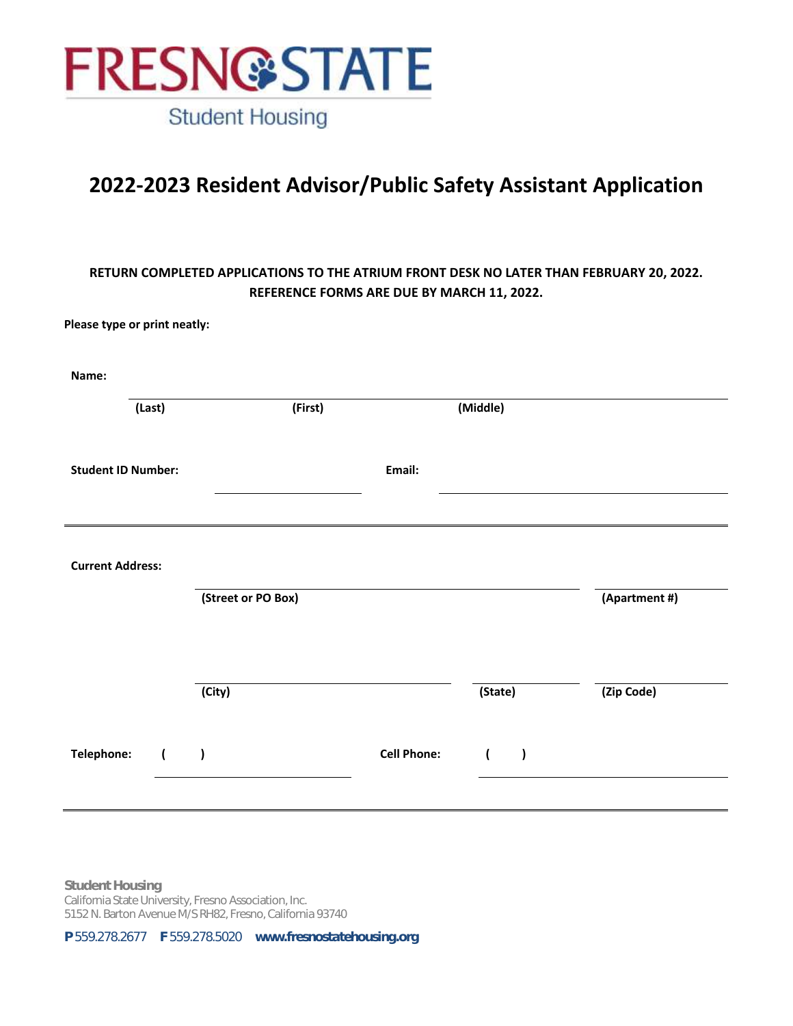

### **2022-2023 Resident Advisor/Public Safety Assistant Application**

### **RETURN COMPLETED APPLICATIONS TO THE ATRIUM FRONT DESK NO LATER THAN FEBRUARY 20, 2022. REFERENCE FORMS ARE DUE BY MARCH 11, 2022.**

**Please type or print neatly:**

| Name:                        |                    |                    |                             |               |
|------------------------------|--------------------|--------------------|-----------------------------|---------------|
| (Last)                       | (First)            |                    | (Middle)                    |               |
| <b>Student ID Number:</b>    |                    | Email:             |                             |               |
|                              |                    |                    |                             |               |
| <b>Current Address:</b>      |                    |                    |                             |               |
|                              | (Street or PO Box) |                    |                             | (Apartment #) |
|                              |                    |                    |                             |               |
|                              | (City)             |                    | (State)                     | (Zip Code)    |
| Telephone:<br>$\overline{(}$ | $\lambda$          | <b>Cell Phone:</b> | $\overline{ }$<br>$\lambda$ |               |
|                              |                    |                    |                             |               |

**Student Housing** California State University, Fresno Association, Inc. 5152 N. Barton Avenue M/S RH82, Fresno, California 93740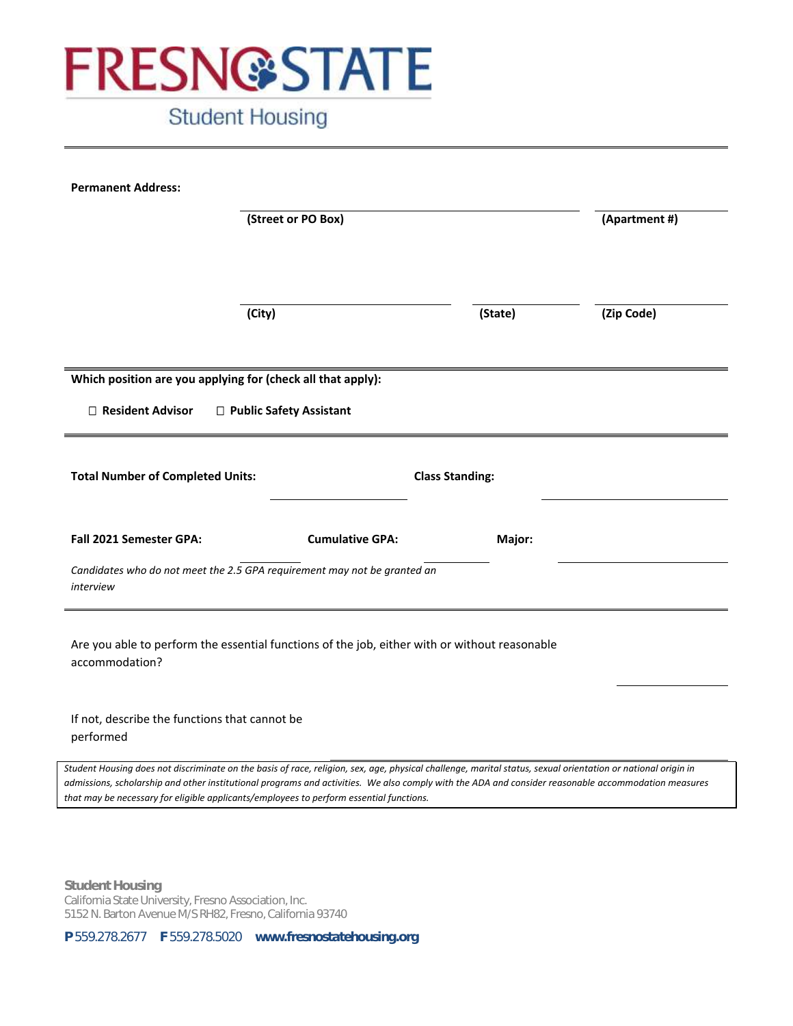

### **Student Housing**

| <b>Permanent Address:</b>                                                                                                                                                                                                                      |                        |         |               |
|------------------------------------------------------------------------------------------------------------------------------------------------------------------------------------------------------------------------------------------------|------------------------|---------|---------------|
| (Street or PO Box)                                                                                                                                                                                                                             |                        |         | (Apartment #) |
|                                                                                                                                                                                                                                                |                        |         |               |
|                                                                                                                                                                                                                                                |                        |         |               |
| (City)                                                                                                                                                                                                                                         |                        | (State) | (Zip Code)    |
|                                                                                                                                                                                                                                                |                        |         |               |
| Which position are you applying for (check all that apply):                                                                                                                                                                                    |                        |         |               |
| $\Box$ Resident Advisor<br>□ Public Safety Assistant                                                                                                                                                                                           |                        |         |               |
|                                                                                                                                                                                                                                                |                        |         |               |
| <b>Total Number of Completed Units:</b>                                                                                                                                                                                                        | <b>Class Standing:</b> |         |               |
|                                                                                                                                                                                                                                                |                        |         |               |
| <b>Fall 2021 Semester GPA:</b>                                                                                                                                                                                                                 | <b>Cumulative GPA:</b> | Major:  |               |
| Candidates who do not meet the 2.5 GPA requirement may not be granted an<br>interview                                                                                                                                                          |                        |         |               |
|                                                                                                                                                                                                                                                |                        |         |               |
| Are you able to perform the essential functions of the job, either with or without reasonable                                                                                                                                                  |                        |         |               |
| accommodation?                                                                                                                                                                                                                                 |                        |         |               |
|                                                                                                                                                                                                                                                |                        |         |               |
| If not, describe the functions that cannot be<br>performed                                                                                                                                                                                     |                        |         |               |
| Student Housing does not discriminate on the basis of race, religion, sex, age, physical challenge, marital status, sexual orientation or national origin in                                                                                   |                        |         |               |
| admissions, scholarship and other institutional programs and activities. We also comply with the ADA and consider reasonable accommodation measures<br>that may be necessary for eligible applicants/employees to perform essential functions. |                        |         |               |

**Student Housing** California State University, Fresno Association, Inc. 5152 N. Barton Avenue M/S RH82, Fresno, California 93740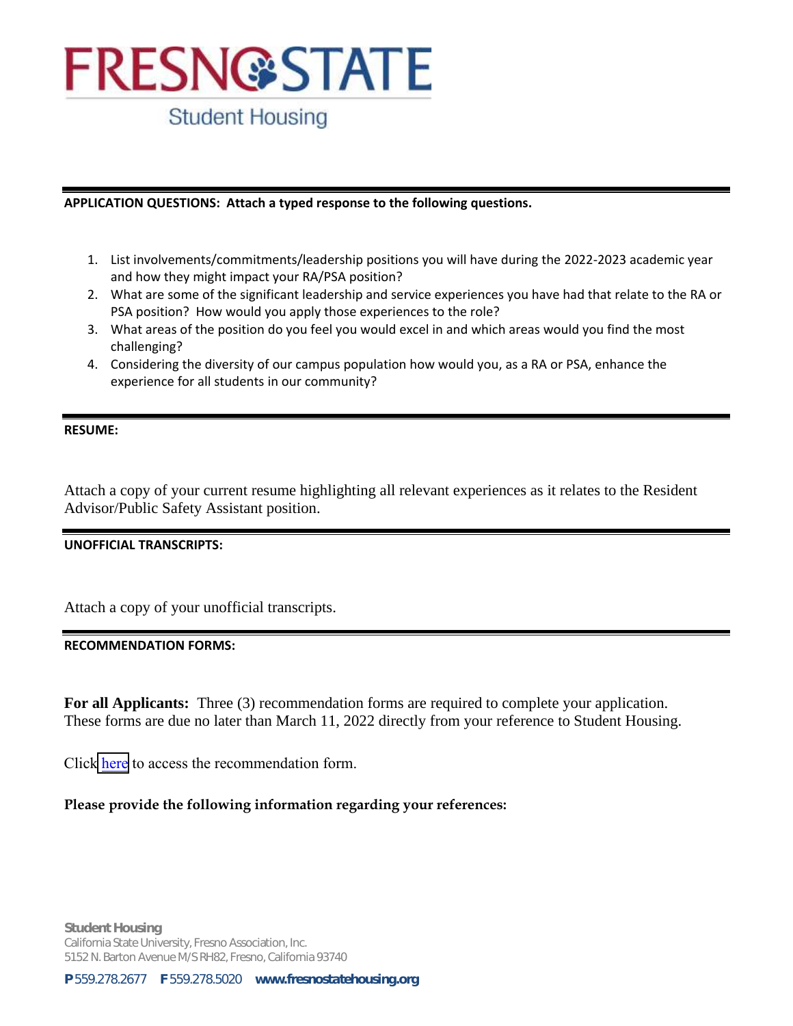**Student Housing** 

#### **APPLICATION QUESTIONS: Attach a typed response to the following questions.**

- 1. List involvements/commitments/leadership positions you will have during the 2022-2023 academic year and how they might impact your RA/PSA position?
- 2. What are some of the significant leadership and service experiences you have had that relate to the RA or PSA position? How would you apply those experiences to the role?
- 3. What areas of the position do you feel you would excel in and which areas would you find the most challenging?
- 4. Considering the diversity of our campus population how would you, as a RA or PSA, enhance the experience for all students in our community?

#### **RESUME:**

Attach a copy of your current resume highlighting all relevant experiences as it relates to the Resident Advisor/Public Safety Assistant position.

### **UNOFFICIAL TRANSCRIPTS:**

Attach a copy of your unofficial transcripts.

### **RECOMMENDATION FORMS:**

**For all Applicants:** Three (3) recommendation forms are required to complete your application. These forms are due no later than March 11, 2022 directly from your reference to Student Housing.

Click [here](https://fresnostatehousing.org/wp-content/uploads/2022/01/Reference Letter and sheet.pdf) to access the recommendation form.

### **Please provide the following information regarding your references:**

**Student Housing**  California State University, Fresno Association, Inc. 5152 N. Barton Avenue M/S RH82, Fresno, California 93740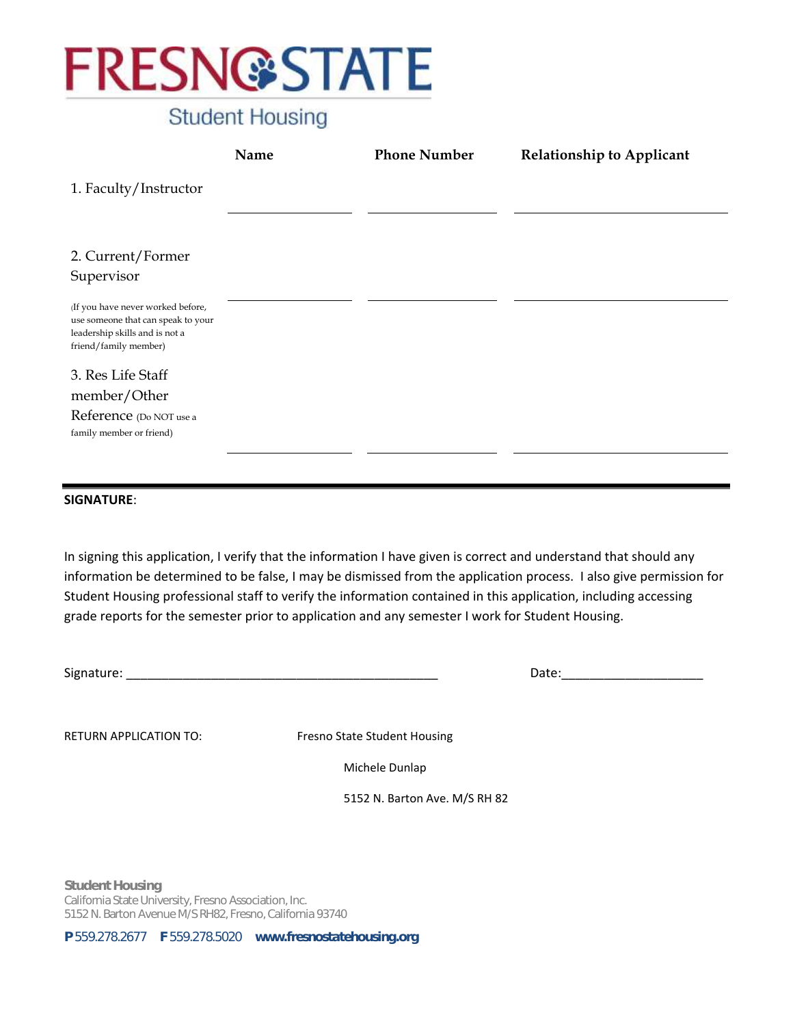

### **Student Housing**

|                                                                                                                                    | Name | <b>Phone Number</b> | <b>Relationship to Applicant</b> |
|------------------------------------------------------------------------------------------------------------------------------------|------|---------------------|----------------------------------|
| 1. Faculty/Instructor                                                                                                              |      |                     |                                  |
|                                                                                                                                    |      |                     |                                  |
| 2. Current/Former                                                                                                                  |      |                     |                                  |
| Supervisor                                                                                                                         |      |                     |                                  |
| (If you have never worked before,<br>use someone that can speak to your<br>leadership skills and is not a<br>friend/family member) |      |                     |                                  |
| 3. Res Life Staff                                                                                                                  |      |                     |                                  |
| member/Other                                                                                                                       |      |                     |                                  |
| Reference (Do NOT use a<br>family member or friend)                                                                                |      |                     |                                  |
|                                                                                                                                    |      |                     |                                  |
| <b>SIGNATURE:</b>                                                                                                                  |      |                     |                                  |

In signing this application, I verify that the information I have given is correct and understand that should any information be determined to be false, I may be dismissed from the application process. I also give permission for Student Housing professional staff to verify the information contained in this application, including accessing grade reports for the semester prior to application and any semester I work for Student Housing.

Signature: \_\_\_\_\_\_\_\_\_\_\_\_\_\_\_\_\_\_\_\_\_\_\_\_\_\_\_\_\_\_\_\_\_\_\_\_\_\_\_\_\_\_\_\_ Date:\_\_\_\_\_\_\_\_\_\_\_\_\_\_\_\_\_\_\_\_

RETURN APPLICATION TO: Fresno State Student Housing

Michele Dunlap

5152 N. Barton Ave. M/S RH 82

**Student Housing** California State University, Fresno Association, Inc. 5152 N. Barton Avenue M/S RH82, Fresno, California 93740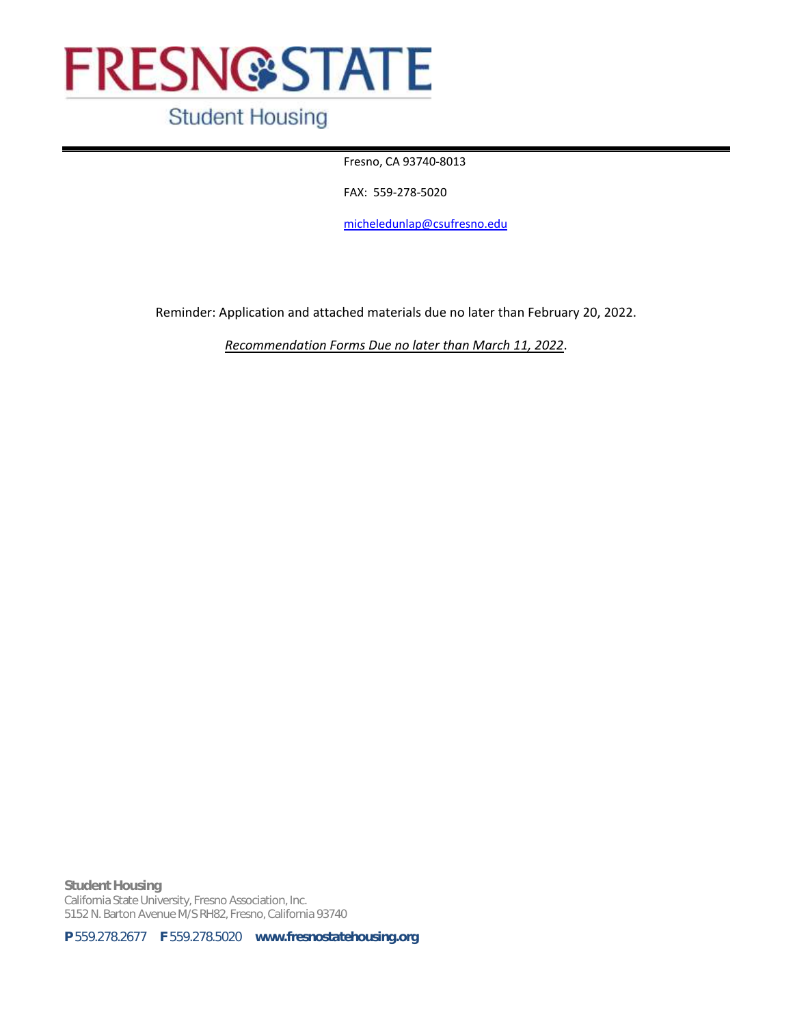### **Student Housing**

Fresno, CA 93740-8013

FAX: 559-278-5020

[micheledunlap@csufresno.edu](mailto:micheledunlap@csufresno.edu)

Reminder: Application and attached materials due no later than February 20, 2022.

*Recommendation Forms Due no later than March 11, 2022*.

**Student Housing** California State University, Fresno Association, Inc. 5152 N. Barton Avenue M/S RH82, Fresno, California 93740